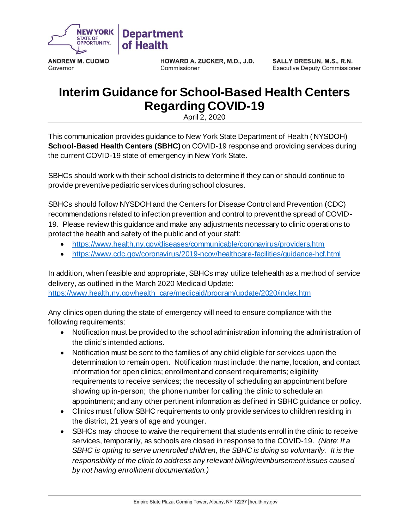

**ANDREW M. CUOMO** Governor

HOWARD A. ZUCKER, M.D., J.D. Commissioner

SALLY DRESLIN, M.S., R.N. **Executive Deputy Commissioner** 

## **Interim Guidance for School-Based Health Centers Regarding COVID-19**

April 2, 2020

This communication provides guidance to New York State Department of Health (NYSDOH) **School-Based Health Centers (SBHC)** on COVID-19 response and providing services during the current COVID-19 state of emergency in New York State.

SBHCs should work with their school districts to determine if they can or should continue to provide preventive pediatric services during school closures.

SBHCs should follow NYSDOH and the Centers for Disease Control and Prevention (CDC) recommendations related to infection prevention and control to prevent the spread of COVID-19. Please review this guidance and make any adjustments necessary to clinic operations to protect the health and safety of the public and of your staff:

- <https://www.health.ny.gov/diseases/communicable/coronavirus/providers.htm>
- <https://www.cdc.gov/coronavirus/2019-ncov/healthcare-facilities/guidance-hcf.html>

In addition, when feasible and appropriate, SBHCs may utilize telehealth as a method of service delivery, as outlined in the March 2020 Medicaid Update: [https://www.health.ny.gov/health\\_care/medicaid/program/update/2020/index.htm](https://www.health.ny.gov/health_care/medicaid/program/update/2020/index.htm)

Any clinics open during the state of emergency will need to ensure compliance with the following requirements:

- Notification must be provided to the school administration informing the administration of the clinic's intended actions.
- Notification must be sent to the families of any child eligible for services upon the determination to remain open. Notification must include: the name, location, and contact information for open clinics; enrollment and consent requirements; eligibility requirements to receive services; the necessity of scheduling an appointment before showing up in-person; the phone number for calling the clinic to schedule an appointment; and any other pertinent information as defined in SBHC guidance or policy.
- Clinics must follow SBHC requirements to only provide services to children residing in the district, 21 years of age and younger.
- SBHCs may choose to waive the requirement that students enroll in the clinic to receive services, temporarily, as schools are closed in response to the COVID-19. *(Note: If a SBHC is opting to serve unenrolled children, the SBHC is doing so voluntarily. It is the responsibility of the clinic to address any relevant billing/reimbursement issues caused by not having enrollment documentation.)*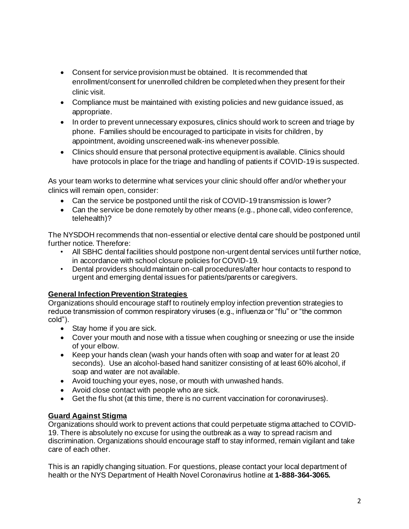- Consent for service provision must be obtained. It is recommended that enrollment/consent for unenrolled children be completed when they present for their clinic visit.
- Compliance must be maintained with existing policies and new guidance issued, as appropriate.
- In order to prevent unnecessary exposures, clinics should work to screen and triage by phone. Families should be encouraged to participate in visits for children, by appointment, avoiding unscreened walk-ins whenever possible.
- Clinics should ensure that personal protective equipment is available. Clinics should have protocols in place for the triage and handling of patients if COVID-19 is suspected.

As your team works to determine what services your clinic should offer and/or whether your clinics will remain open, consider:

- Can the service be postponed until the risk of COVID-19 transmission is lower?
- Can the service be done remotely by other means (e.g., phone call, video conference, telehealth)?

The NYSDOH recommends that non-essential or elective dental care should be postponed until further notice. Therefore:

- All SBHC dental facilities should postpone non-urgent dental services until further notice, in accordance with school closure policies for COVID-19.
- Dental providers should maintain on-call procedures/after hour contacts to respond to urgent and emerging dental issues for patients/parents or caregivers.

## **General Infection Prevention Strategies**

Organizations should encourage staff to routinely employ infection prevention strategies to reduce transmission of common respiratory viruses (e.g., influenza or "flu" or "the common cold").

- Stay home if you are sick.
- Cover your mouth and nose with a tissue when coughing or sneezing or use the inside of your elbow.
- Keep your hands clean (wash your hands often with soap and water for at least 20 seconds). Use an alcohol-based hand sanitizer consisting of at least 60% alcohol, if soap and water are not available.
- Avoid touching your eyes, nose, or mouth with unwashed hands.
- Avoid close contact with people who are sick.
- Get the flu shot (at this time, there is no current vaccination for coronaviruses).

## **Guard Against Stigma**

Organizations should work to prevent actions that could perpetuate stigma attached to COVID-19. There is absolutely no excuse for using the outbreak as a way to spread racism and discrimination. Organizations should encourage staff to stay informed, remain vigilant and take care of each other.

This is an rapidly changing situation. For questions, please contact your local department of health or the NYS Department of Health Novel Coronavirus hotline at **1-888-364-3065.**